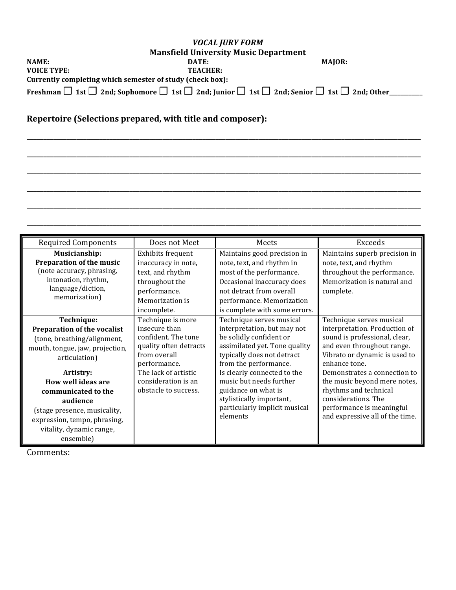|                                                                                                                                    | <b>VOCAL JURY FORM</b> |               |  |  |  |  |  |
|------------------------------------------------------------------------------------------------------------------------------------|------------------------|---------------|--|--|--|--|--|
| <b>Mansfield University Music Department</b>                                                                                       |                        |               |  |  |  |  |  |
| <b>NAME:</b>                                                                                                                       | DATE:                  | <b>MAJOR:</b> |  |  |  |  |  |
| <b>VOICE TYPE:</b>                                                                                                                 | <b>TEACHER:</b>        |               |  |  |  |  |  |
| Currently completing which semester of study (check box):                                                                          |                        |               |  |  |  |  |  |
| Freshman $\Box$ 1st $\Box$ 2nd; Sophomore $\Box$ 1st $\Box$ 2nd; Junior $\Box$ 1st $\Box$ 2nd; Senior $\Box$ 1st $\Box$ 2nd; Other |                        |               |  |  |  |  |  |

**\_\_\_\_\_\_\_\_\_\_\_\_\_\_\_\_\_\_\_\_\_\_\_\_\_\_\_\_\_\_\_\_\_\_\_\_\_\_\_\_\_\_\_\_\_\_\_\_\_\_\_\_\_\_\_\_\_\_\_\_\_\_\_\_\_\_\_\_\_\_\_\_\_\_\_\_\_\_\_\_\_\_\_\_\_\_\_\_\_\_\_\_\_\_\_\_\_\_\_\_\_\_\_\_\_\_\_\_\_\_\_\_\_\_\_\_\_\_\_**

**\_\_\_\_\_\_\_\_\_\_\_\_\_\_\_\_\_\_\_\_\_\_\_\_\_\_\_\_\_\_\_\_\_\_\_\_\_\_\_\_\_\_\_\_\_\_\_\_\_\_\_\_\_\_\_\_\_\_\_\_\_\_\_\_\_\_\_\_\_\_\_\_\_\_\_\_\_\_\_\_\_\_\_\_\_\_\_\_\_\_\_\_\_\_\_\_\_\_\_\_\_\_\_\_\_\_\_\_\_\_\_\_\_\_\_\_\_\_\_**

**\_\_\_\_\_\_\_\_\_\_\_\_\_\_\_\_\_\_\_\_\_\_\_\_\_\_\_\_\_\_\_\_\_\_\_\_\_\_\_\_\_\_\_\_\_\_\_\_\_\_\_\_\_\_\_\_\_\_\_\_\_\_\_\_\_\_\_\_\_\_\_\_\_\_\_\_\_\_\_\_\_\_\_\_\_\_\_\_\_\_\_\_\_\_\_\_\_\_\_\_\_\_\_\_\_\_\_\_\_\_\_\_\_\_\_\_\_\_\_**

**\_\_\_\_\_\_\_\_\_\_\_\_\_\_\_\_\_\_\_\_\_\_\_\_\_\_\_\_\_\_\_\_\_\_\_\_\_\_\_\_\_\_\_\_\_\_\_\_\_\_\_\_\_\_\_\_\_\_\_\_\_\_\_\_\_\_\_\_\_\_\_\_\_\_\_\_\_\_\_\_\_\_\_\_\_\_\_\_\_\_\_\_\_\_\_\_\_\_\_\_\_\_\_\_\_\_\_\_\_\_\_\_\_\_\_\_\_\_\_**

**\_\_\_\_\_\_\_\_\_\_\_\_\_\_\_\_\_\_\_\_\_\_\_\_\_\_\_\_\_\_\_\_\_\_\_\_\_\_\_\_\_\_\_\_\_\_\_\_\_\_\_\_\_\_\_\_\_\_\_\_\_\_\_\_\_\_\_\_\_\_\_\_\_\_\_\_\_\_\_\_\_\_\_\_\_\_\_\_\_\_\_\_\_\_\_\_\_\_\_\_\_\_\_\_\_\_\_\_\_\_\_\_\_\_\_\_\_\_\_**

**\_\_\_\_\_\_\_\_\_\_\_\_\_\_\_\_\_\_\_\_\_\_\_\_\_\_\_\_\_\_\_\_\_\_\_\_\_\_\_\_\_\_\_\_\_\_\_\_\_\_\_\_\_\_\_\_\_\_\_\_\_\_\_\_\_\_\_\_\_\_\_\_\_\_\_\_\_\_\_\_\_\_\_\_\_\_\_\_\_\_\_\_\_\_\_\_\_\_\_\_\_\_\_\_\_\_\_\_\_\_\_\_\_\_\_\_\_\_\_**

## **Repertoire (Selections prepared, with title and composer):**

| <b>Required Components</b>                       | Does not Meet          | Meets                         | Exceeds                         |
|--------------------------------------------------|------------------------|-------------------------------|---------------------------------|
| Musicianship:                                    | Exhibits frequent      | Maintains good precision in   | Maintains superb precision in   |
| Preparation of the music                         | inaccuracy in note,    | note, text, and rhythm in     | note, text, and rhythm          |
| (note accuracy, phrasing,                        | text, and rhythm       | most of the performance.      | throughout the performance.     |
| intonation, rhythm,                              | throughout the         | Occasional inaccuracy does    | Memorization is natural and     |
| language/diction,                                | performance.           | not detract from overall      | complete.                       |
| memorization)                                    | Memorization is        | performance. Memorization     |                                 |
|                                                  | incomplete.            | is complete with some errors. |                                 |
| Technique:                                       | Technique is more      | Technique serves musical      | Technique serves musical        |
| Preparation of the vocalist                      | insecure than          | interpretation, but may not   | interpretation. Production of   |
| (tone, breathing/alignment,                      | confident. The tone    | be solidly confident or       | sound is professional, clear,   |
| mouth, tongue, jaw, projection,<br>articulation) | quality often detracts | assimilated yet. Tone quality | and even throughout range.      |
|                                                  | from overall           | typically does not detract    | Vibrato or dynamic is used to   |
|                                                  | performance.           | from the performance.         | enhance tone.                   |
| Artistry:                                        | The lack of artistic   | Is clearly connected to the   | Demonstrates a connection to    |
| How well ideas are                               | consideration is an    | music but needs further       | the music beyond mere notes,    |
| communicated to the                              | obstacle to success.   | guidance on what is           | rhythms and technical           |
| audience                                         |                        | stylistically important,      | considerations. The             |
| (stage presence, musicality,                     |                        | particularly implicit musical | performance is meaningful       |
| expression, tempo, phrasing,                     |                        | elements                      | and expressive all of the time. |
| vitality, dynamic range,                         |                        |                               |                                 |
| ensemble)                                        |                        |                               |                                 |

Comments: